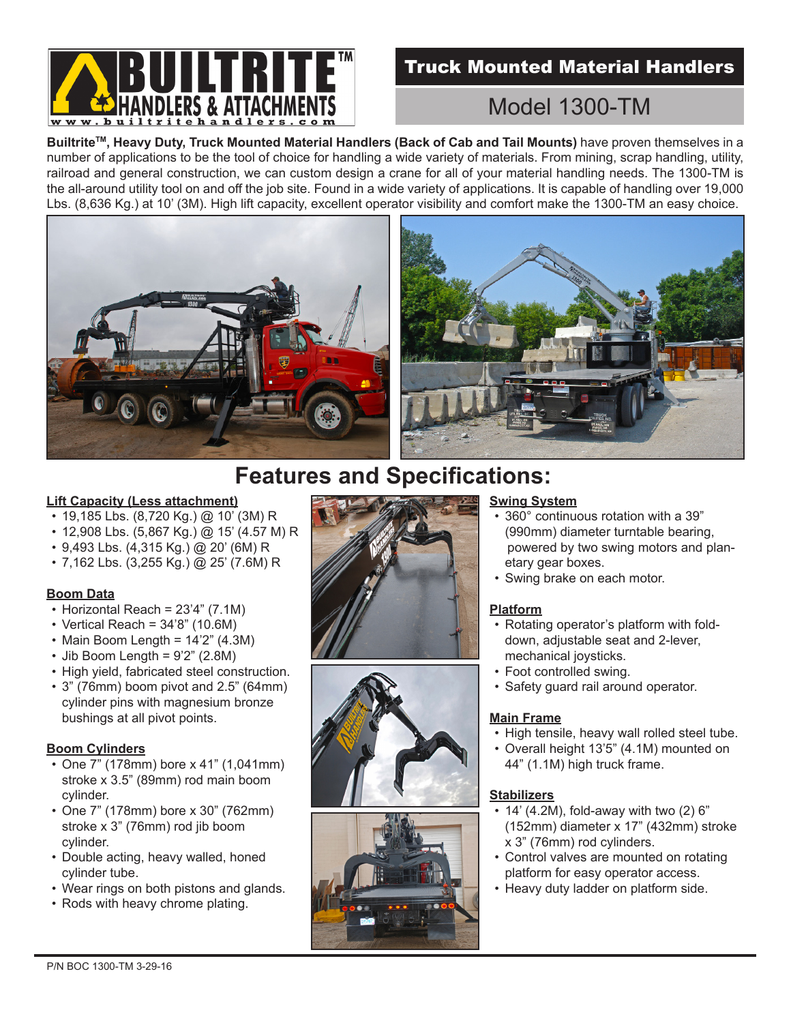

# Truck Mounted Material Handlers

# Model 1300-TM

**BuiltriteTM, Heavy Duty, Truck Mounted Material Handlers (Back of Cab and Tail Mounts)** have proven themselves in a number of applications to be the tool of choice for handling a wide variety of materials. From mining, scrap handling, utility, railroad and general construction, we can custom design a crane for all of your material handling needs. The 1300-TM is the all-around utility tool on and off the job site. Found in a wide variety of applications. It is capable of handling over 19,000 Lbs. (8,636 Kg.) at 10' (3M). High lift capacity, excellent operator visibility and comfort make the 1300-TM an easy choice.





# **Features and Specifications:**

#### **Lift Capacity (Less attachment)**

- 19,185 Lbs. (8,720 Kg.) @ 10' (3M) R
- 12,908 Lbs. (5,867 Kg.) @ 15' (4.57 M) R
- 9,493 Lbs. (4,315 Kg.) @ 20' (6M) R
- 7,162 Lbs. (3,255 Kg.) @ 25' (7.6M) R

# **Boom Data**

- Horizontal Reach = 23'4" (7.1M)
- Vertical Reach = 34'8" (10.6M)
- Main Boom Length = 14'2" (4.3M)
- Jib Boom Length = 9'2" (2.8M)
- High yield, fabricated steel construction.
- 3" (76mm) boom pivot and 2.5" (64mm) cylinder pins with magnesium bronze bushings at all pivot points.

# **Boom Cylinders**

- One 7" (178mm) bore x 41" (1,041mm) stroke x 3.5" (89mm) rod main boom cylinder.
- One 7" (178mm) bore x 30" (762mm) stroke x 3" (76mm) rod jib boom cylinder.
- Double acting, heavy walled, honed cylinder tube.
- Wear rings on both pistons and glands.
- Rods with heavy chrome plating.







# **Swing System**

- 360° continuous rotation with a 39" (990mm) diameter turntable bearing, powered by two swing motors and planetary gear boxes.
- Swing brake on each motor.

# **Platform**

- Rotating operator's platform with folddown, adjustable seat and 2-lever, mechanical joysticks.
- Foot controlled swing.
- Safety guard rail around operator.

# **Main Frame**

- High tensile, heavy wall rolled steel tube.
- Overall height 13'5" (4.1M) mounted on 44" (1.1M) high truck frame.

# **Stabilizers**

- 14' (4.2M), fold-away with two (2) 6" (152mm) diameter x 17" (432mm) stroke x 3" (76mm) rod cylinders.
- Control valves are mounted on rotating platform for easy operator access.
- Heavy duty ladder on platform side.